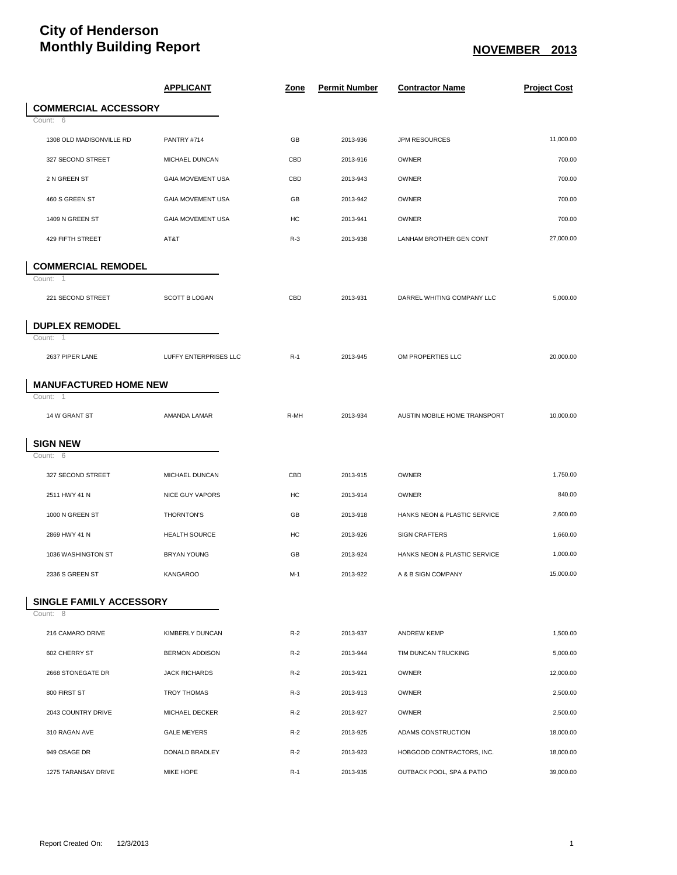## **City of Henderson** Monthly Building Report <u>NOVEMBER 2013</u>

|                                       | <b>APPLICANT</b>         | <u>Zone</u> | <b>Permit Number</b> | <b>Contractor Name</b>       | <b>Project Cost</b> |
|---------------------------------------|--------------------------|-------------|----------------------|------------------------------|---------------------|
| <b>COMMERCIAL ACCESSORY</b>           |                          |             |                      |                              |                     |
| Count: 6                              |                          |             |                      |                              |                     |
| 1308 OLD MADISONVILLE RD              | PANTRY #714              | GB          | 2013-936             | <b>JPM RESOURCES</b>         | 11,000.00           |
| 327 SECOND STREET                     | MICHAEL DUNCAN           | CBD         | 2013-916             | OWNER                        | 700.00              |
| 2 N GREEN ST                          | GAIA MOVEMENT USA        | CBD         | 2013-943             | OWNER                        | 700.00              |
| 460 S GREEN ST                        | <b>GAIA MOVEMENT USA</b> | GB          | 2013-942             | OWNER                        | 700.00              |
| 1409 N GREEN ST                       | GAIA MOVEMENT USA        | HC          | 2013-941             | OWNER                        | 700.00              |
| 429 FIFTH STREET                      | AT&T                     | $R-3$       | 2013-938             | LANHAM BROTHER GEN CONT      | 27,000.00           |
| <b>COMMERCIAL REMODEL</b><br>Count: 1 |                          |             |                      |                              |                     |
| 221 SECOND STREET                     | <b>SCOTT B LOGAN</b>     | CBD         | 2013-931             | DARREL WHITING COMPANY LLC   | 5,000.00            |
| <b>DUPLEX REMODEL</b>                 |                          |             |                      |                              |                     |
| Count: 1<br>2637 PIPER LANE           | LUFFY ENTERPRISES LLC    | $R-1$       | 2013-945             | OM PROPERTIES LLC            | 20,000.00           |
| <b>MANUFACTURED HOME NEW</b>          |                          |             |                      |                              |                     |
| Count:<br>-1                          |                          |             |                      |                              |                     |
| 14 W GRANT ST                         | AMANDA LAMAR             | R-MH        | 2013-934             | AUSTIN MOBILE HOME TRANSPORT | 10,000.00           |
| <b>SIGN NEW</b>                       |                          |             |                      |                              |                     |
| Count: 6                              |                          |             |                      |                              |                     |
| 327 SECOND STREET                     | MICHAEL DUNCAN           | CBD         | 2013-915             | OWNER                        | 1,750.00            |
| 2511 HWY 41 N                         | <b>NICE GUY VAPORS</b>   | HC          | 2013-914             | <b>OWNER</b>                 | 840.00              |
| 1000 N GREEN ST                       | THORNTON'S               | GB          | 2013-918             | HANKS NEON & PLASTIC SERVICE | 2,600.00            |
| 2869 HWY 41 N                         | <b>HEALTH SOURCE</b>     | HC          | 2013-926             | <b>SIGN CRAFTERS</b>         | 1,660.00            |
| 1036 WASHINGTON ST                    | <b>BRYAN YOUNG</b>       | GB          | 2013-924             | HANKS NEON & PLASTIC SERVICE | 1,000.00            |
| 2336 S GREEN ST                       | <b>KANGAROO</b>          | M-1         | 2013-922             | A & B SIGN COMPANY           | 15,000.00           |
| <b>SINGLE FAMILY ACCESSORY</b>        |                          |             |                      |                              |                     |
| Count: 8                              |                          |             |                      |                              |                     |
| 216 CAMARO DRIVE                      | <b>KIMBERLY DUNCAN</b>   | $R-2$       | 2013-937             | ANDREW KEMP                  | 1,500.00            |
| 602 CHERRY ST                         | <b>BERMON ADDISON</b>    | $R-2$       | 2013-944             | TIM DUNCAN TRUCKING          | 5,000.00            |
| 2668 STONEGATE DR                     | <b>JACK RICHARDS</b>     | $R-2$       | 2013-921             | <b>OWNER</b>                 | 12,000.00           |
| 800 FIRST ST                          | TROY THOMAS              | $R-3$       | 2013-913             | OWNER                        | 2,500.00            |
| 2043 COUNTRY DRIVE                    | MICHAEL DECKER           | $R-2$       | 2013-927             | OWNER                        | 2,500.00            |
| 310 RAGAN AVE                         | <b>GALE MEYERS</b>       | $R-2$       | 2013-925             | ADAMS CONSTRUCTION           | 18,000.00           |
| 949 OSAGE DR                          | DONALD BRADLEY           | $R-2$       | 2013-923             | HOBGOOD CONTRACTORS, INC.    | 18,000.00           |
| 1275 TARANSAY DRIVE                   | <b>MIKE HOPE</b>         | $R-1$       | 2013-935             | OUTBACK POOL, SPA & PATIO    | 39,000.00           |